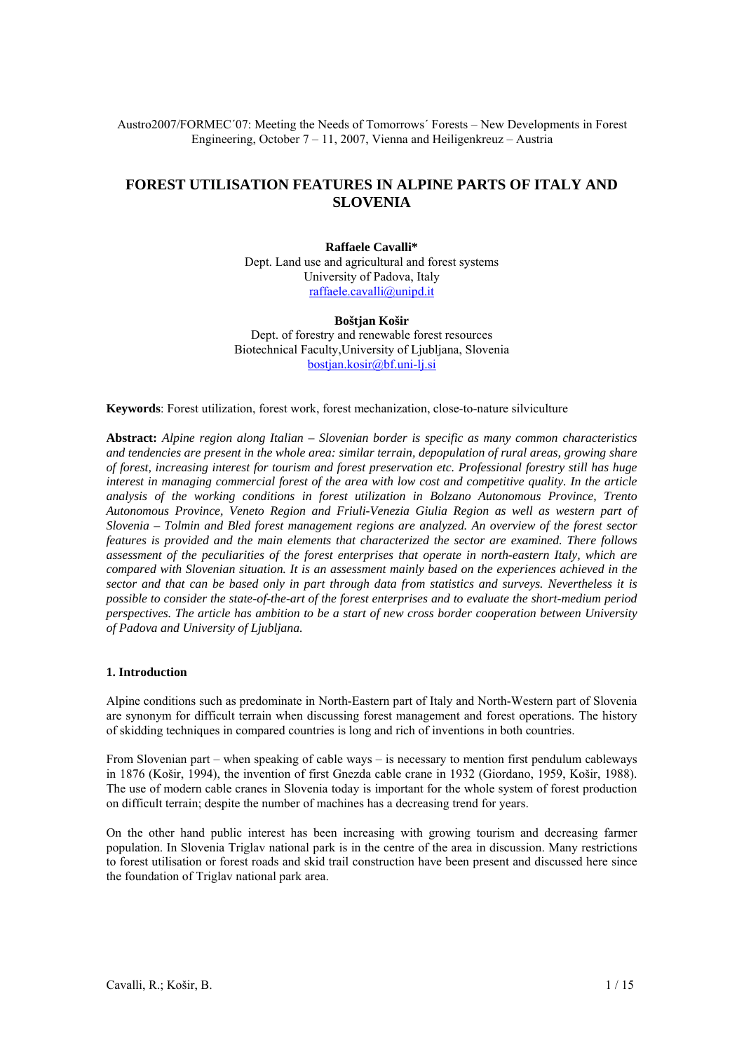Austro2007/FORMEC´07: Meeting the Needs of Tomorrows´ Forests – New Developments in Forest Engineering, October 7 – 11, 2007, Vienna and Heiligenkreuz – Austria

# **FOREST UTILISATION FEATURES IN ALPINE PARTS OF ITALY AND SLOVENIA**

# **Raffaele Cavalli\***  Dept. Land use and agricultural and forest systems University of Padova, Italy raffaele.cavalli@unipd.it

#### **Boštjan Košir**

Dept. of forestry and renewable forest resources Biotechnical Faculty,University of Ljubljana, Slovenia bostjan.kosir@bf.uni-lj.si

**Keywords**: Forest utilization, forest work, forest mechanization, close-to-nature silviculture

**Abstract:** *Alpine region along Italian – Slovenian border is specific as many common characteristics and tendencies are present in the whole area: similar terrain, depopulation of rural areas, growing share of forest, increasing interest for tourism and forest preservation etc. Professional forestry still has huge interest in managing commercial forest of the area with low cost and competitive quality. In the article analysis of the working conditions in forest utilization in Bolzano Autonomous Province, Trento Autonomous Province, Veneto Region and Friuli-Venezia Giulia Region as well as western part of Slovenia – Tolmin and Bled forest management regions are analyzed. An overview of the forest sector features is provided and the main elements that characterized the sector are examined. There follows assessment of the peculiarities of the forest enterprises that operate in north-eastern Italy, which are compared with Slovenian situation. It is an assessment mainly based on the experiences achieved in the sector and that can be based only in part through data from statistics and surveys. Nevertheless it is possible to consider the state-of-the-art of the forest enterprises and to evaluate the short-medium period perspectives. The article has ambition to be a start of new cross border cooperation between University of Padova and University of Ljubljana.* 

# **1. Introduction**

Alpine conditions such as predominate in North-Eastern part of Italy and North-Western part of Slovenia are synonym for difficult terrain when discussing forest management and forest operations. The history of skidding techniques in compared countries is long and rich of inventions in both countries.

From Slovenian part – when speaking of cable ways – is necessary to mention first pendulum cableways in 1876 (Košir, 1994), the invention of first Gnezda cable crane in 1932 (Giordano, 1959, Košir, 1988). The use of modern cable cranes in Slovenia today is important for the whole system of forest production on difficult terrain; despite the number of machines has a decreasing trend for years.

On the other hand public interest has been increasing with growing tourism and decreasing farmer population. In Slovenia Triglav national park is in the centre of the area in discussion. Many restrictions to forest utilisation or forest roads and skid trail construction have been present and discussed here since the foundation of Triglav national park area.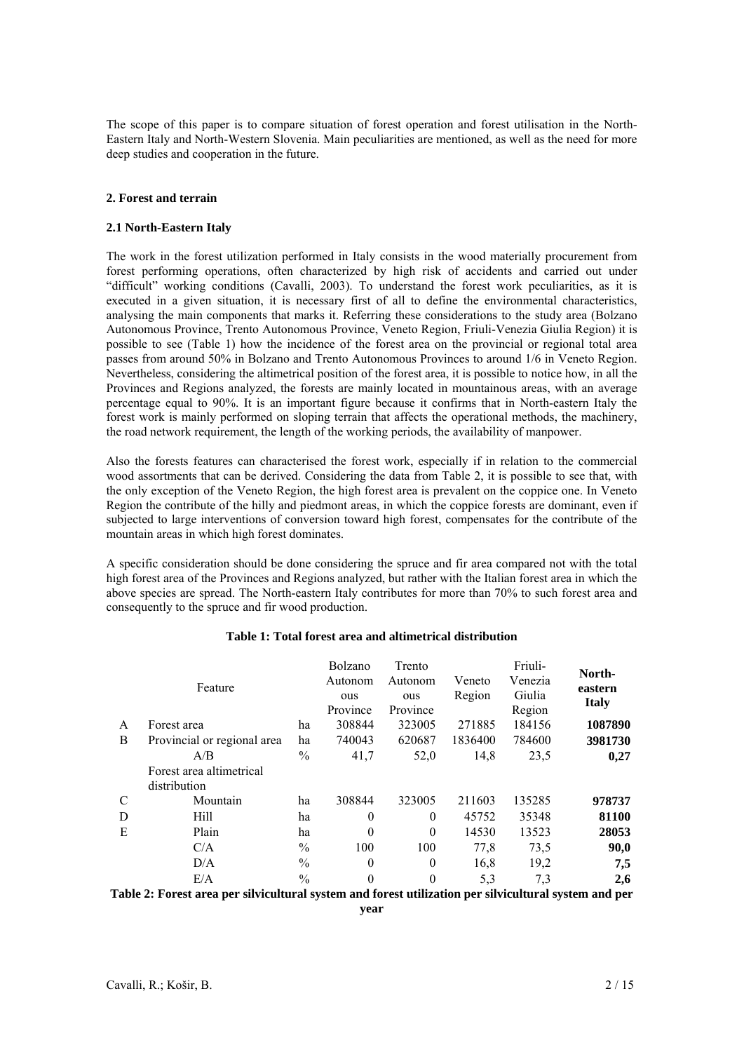The scope of this paper is to compare situation of forest operation and forest utilisation in the North-Eastern Italy and North-Western Slovenia. Main peculiarities are mentioned, as well as the need for more deep studies and cooperation in the future.

# **2. Forest and terrain**

#### **2.1 North-Eastern Italy**

The work in the forest utilization performed in Italy consists in the wood materially procurement from forest performing operations, often characterized by high risk of accidents and carried out under "difficult" working conditions (Cavalli, 2003). To understand the forest work peculiarities, as it is executed in a given situation, it is necessary first of all to define the environmental characteristics, analysing the main components that marks it. Referring these considerations to the study area (Bolzano Autonomous Province, Trento Autonomous Province, Veneto Region, Friuli-Venezia Giulia Region) it is possible to see (Table 1) how the incidence of the forest area on the provincial or regional total area passes from around 50% in Bolzano and Trento Autonomous Provinces to around 1/6 in Veneto Region. Nevertheless, considering the altimetrical position of the forest area, it is possible to notice how, in all the Provinces and Regions analyzed, the forests are mainly located in mountainous areas, with an average percentage equal to 90%. It is an important figure because it confirms that in North-eastern Italy the forest work is mainly performed on sloping terrain that affects the operational methods, the machinery, the road network requirement, the length of the working periods, the availability of manpower.

Also the forests features can characterised the forest work, especially if in relation to the commercial wood assortments that can be derived. Considering the data from Table 2, it is possible to see that, with the only exception of the Veneto Region, the high forest area is prevalent on the coppice one. In Veneto Region the contribute of the hilly and piedmont areas, in which the coppice forests are dominant, even if subjected to large interventions of conversion toward high forest, compensates for the contribute of the mountain areas in which high forest dominates.

A specific consideration should be done considering the spruce and fir area compared not with the total high forest area of the Provinces and Regions analyzed, but rather with the Italian forest area in which the above species are spread. The North-eastern Italy contributes for more than 70% to such forest area and consequently to the spruce and fir wood production.

|   |                             |               | Bolzano  | Trento   |         | Friuli- | North-       |
|---|-----------------------------|---------------|----------|----------|---------|---------|--------------|
|   | Feature                     |               | Autonom  | Autonom  | Veneto  | Venezia | eastern      |
|   |                             |               | ous      | ous      | Region  | Giulia  | <b>Italy</b> |
|   |                             |               | Province | Province |         | Region  |              |
| A | Forest area                 | ha            | 308844   | 323005   | 271885  | 184156  | 1087890      |
| B | Provincial or regional area | ha            | 740043   | 620687   | 1836400 | 784600  | 3981730      |
|   | A/B                         | $\frac{0}{0}$ | 41,7     | 52,0     | 14,8    | 23,5    | 0,27         |
|   | Forest area altimetrical    |               |          |          |         |         |              |
|   | distribution                |               |          |          |         |         |              |
| C | Mountain                    | ha            | 308844   | 323005   | 211603  | 135285  | 978737       |
| D | Hill                        | ha            | $\theta$ | $\theta$ | 45752   | 35348   | 81100        |
| E | Plain                       | ha            | $\Omega$ | $\theta$ | 14530   | 13523   | 28053        |
|   | C/A                         | $\frac{0}{0}$ | 100      | 100      | 77,8    | 73,5    | 90,0         |
|   | D/A                         | $\frac{0}{0}$ | $\theta$ | $\theta$ | 16,8    | 19,2    | 7,5          |
|   | E/A                         | $\frac{0}{0}$ | $\theta$ | $\theta$ | 5,3     | 7,3     | 2,6          |
|   |                             |               |          |          |         |         |              |

# **Table 1: Total forest area and altimetrical distribution**

Friuli-

**Table 2: Forest area per silvicultural system and forest utilization per silvicultural system and per** 

**year**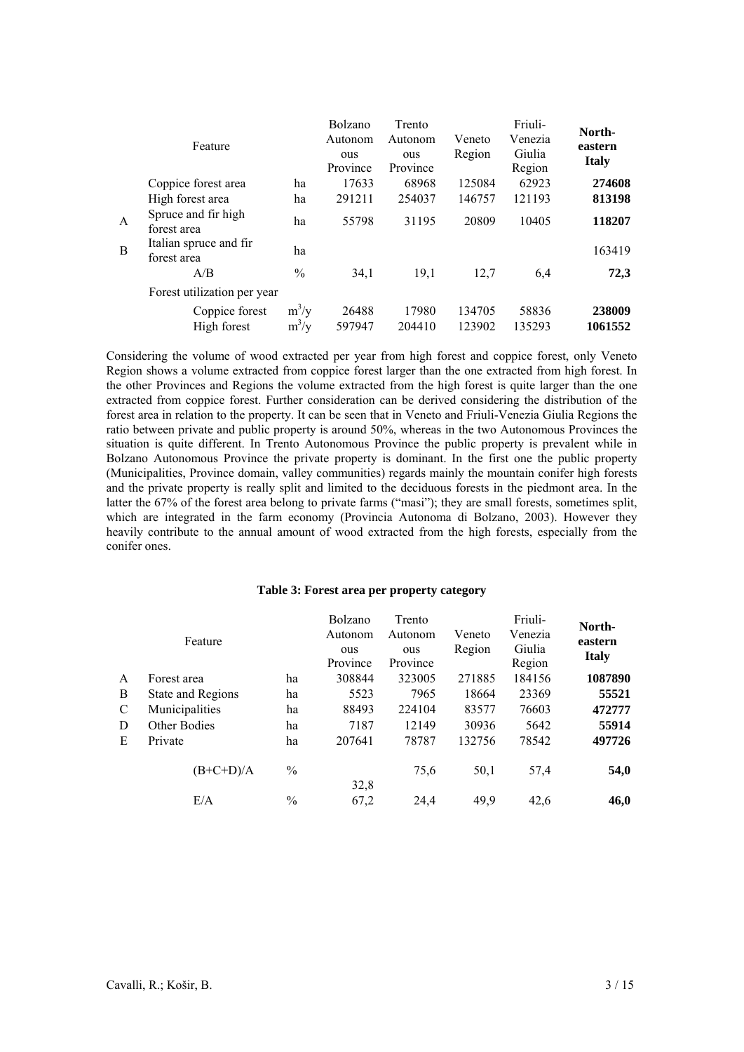|   | Feature                               |                    | Bolzano<br>Autonom<br>ous<br>Province | Trento<br>Autonom<br>ous<br>Province | Veneto<br>Region | Friuli-<br>Venezia<br>Giulia<br>Region | North-<br>eastern<br><b>Italy</b> |
|---|---------------------------------------|--------------------|---------------------------------------|--------------------------------------|------------------|----------------------------------------|-----------------------------------|
|   | Coppice forest area                   | ha                 | 17633                                 | 68968                                | 125084           | 62923                                  | 274608                            |
|   | High forest area                      | ha                 | 291211                                | 254037                               | 146757           | 121193                                 | 813198                            |
| A | Spruce and fir high<br>forest area    | ha                 | 55798                                 | 31195                                | 20809            | 10405                                  | 118207                            |
| B | Italian spruce and fir<br>forest area | ha                 |                                       |                                      |                  |                                        | 163419                            |
|   | A/B                                   | $\frac{0}{0}$      | 34,1                                  | 19,1                                 | 12,7             | 6,4                                    | 72,3                              |
|   | Forest utilization per year           |                    |                                       |                                      |                  |                                        |                                   |
|   | Coppice forest<br>High forest         | $m^3/y$<br>$m^3/y$ | 26488<br>597947                       | 17980<br>204410                      | 134705<br>123902 | 58836<br>135293                        | 238009<br>1061552                 |

Considering the volume of wood extracted per year from high forest and coppice forest, only Veneto Region shows a volume extracted from coppice forest larger than the one extracted from high forest. In the other Provinces and Regions the volume extracted from the high forest is quite larger than the one extracted from coppice forest. Further consideration can be derived considering the distribution of the forest area in relation to the property. It can be seen that in Veneto and Friuli-Venezia Giulia Regions the ratio between private and public property is around 50%, whereas in the two Autonomous Provinces the situation is quite different. In Trento Autonomous Province the public property is prevalent while in Bolzano Autonomous Province the private property is dominant. In the first one the public property (Municipalities, Province domain, valley communities) regards mainly the mountain conifer high forests and the private property is really split and limited to the deciduous forests in the piedmont area. In the latter the 67% of the forest area belong to private farms ("masi"); they are small forests, sometimes split, which are integrated in the farm economy (Provincia Autonoma di Bolzano, 2003). However they heavily contribute to the annual amount of wood extracted from the high forests, especially from the conifer ones.

#### **Table 3: Forest area per property category**

|   | Feature           |               | Bolzano<br>Autonom<br>ous<br>Province | Trento<br>Autonom<br>ous<br>Province | Veneto<br>Region | Friuli-<br>Venezia<br>Giulia<br>Region | North-<br>eastern<br><b>Italy</b> |
|---|-------------------|---------------|---------------------------------------|--------------------------------------|------------------|----------------------------------------|-----------------------------------|
| A | Forest area       | ha            | 308844                                | 323005                               | 271885           | 184156                                 | 1087890                           |
| В | State and Regions | ha            | 5523                                  | 7965                                 | 18664            | 23369                                  | 55521                             |
| C | Municipalities    | ha            | 88493                                 | 224104                               | 83577            | 76603                                  | 472777                            |
| D | Other Bodies      | ha            | 7187                                  | 12149                                | 30936            | 5642                                   | 55914                             |
| E | Private           | ha            | 207641                                | 78787                                | 132756           | 78542                                  | 497726                            |
|   | $(B+C+D)/A$       | $\%$          | 32,8                                  | 75,6                                 | 50,1             | 57,4                                   | 54,0                              |
|   | E/A               | $\frac{0}{0}$ | 67,2                                  | 24,4                                 | 49,9             | 42,6                                   | 46,0                              |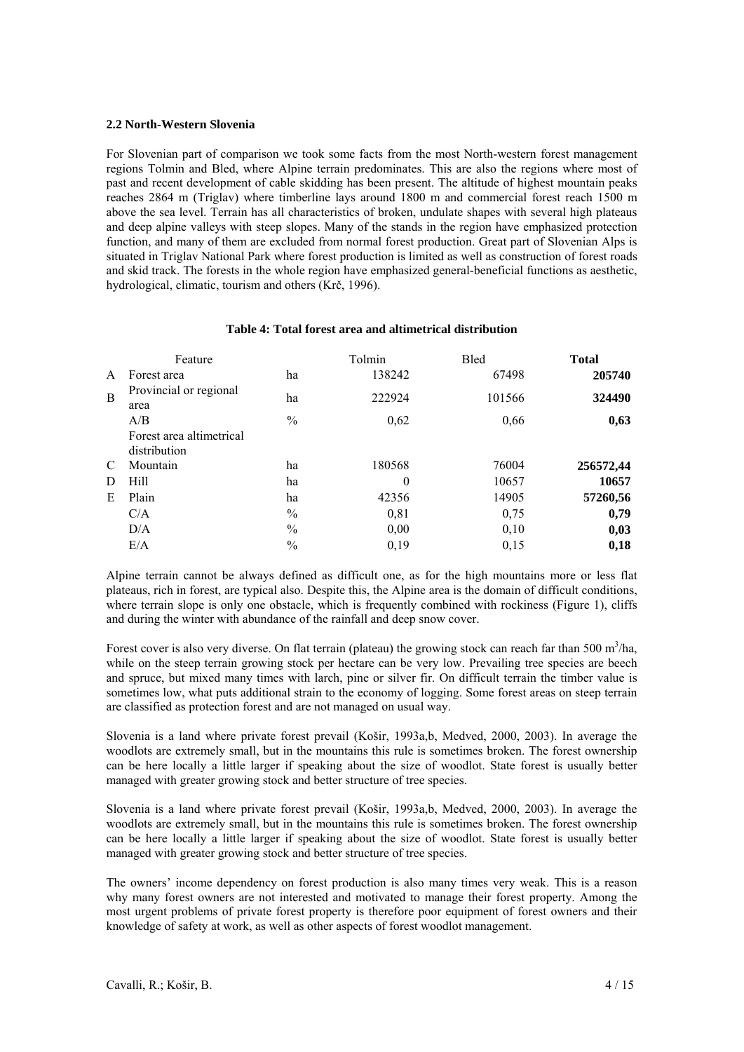# **2.2 North-Western Slovenia**

For Slovenian part of comparison we took some facts from the most North-western forest management regions Tolmin and Bled, where Alpine terrain predominates. This are also the regions where most of past and recent development of cable skidding has been present. The altitude of highest mountain peaks reaches 2864 m (Triglav) where timberline lays around 1800 m and commercial forest reach 1500 m above the sea level. Terrain has all characteristics of broken, undulate shapes with several high plateaus and deep alpine valleys with steep slopes. Many of the stands in the region have emphasized protection function, and many of them are excluded from normal forest production. Great part of Slovenian Alps is situated in Triglav National Park where forest production is limited as well as construction of forest roads and skid track. The forests in the whole region have emphasized general-beneficial functions as aesthetic, hydrological, climatic, tourism and others (Krč, 1996).

#### **Table 4: Total forest area and altimetrical distribution**

|   | Feature                                  |               | Tolmin   | <b>Bled</b> | <b>Total</b> |
|---|------------------------------------------|---------------|----------|-------------|--------------|
| A | Forest area                              | ha            | 138242   | 67498       | 205740       |
| B | Provincial or regional<br>area           | ha            | 222924   | 101566      | 324490       |
|   | A/B                                      | $\frac{0}{0}$ | 0,62     | 0,66        | 0,63         |
|   | Forest area altimetrical<br>distribution |               |          |             |              |
| C | Mountain                                 | ha            | 180568   | 76004       | 256572,44    |
| D | Hill                                     | ha            | $\theta$ | 10657       | 10657        |
| E | Plain                                    | ha            | 42356    | 14905       | 57260,56     |
|   | C/A                                      | $\frac{0}{0}$ | 0,81     | 0,75        | 0,79         |
|   | D/A                                      | $\frac{0}{0}$ | 0,00     | 0,10        | 0,03         |
|   | E/A                                      | $\frac{0}{0}$ | 0,19     | 0,15        | 0,18         |

Alpine terrain cannot be always defined as difficult one, as for the high mountains more or less flat plateaus, rich in forest, are typical also. Despite this, the Alpine area is the domain of difficult conditions, where terrain slope is only one obstacle, which is frequently combined with rockiness (Figure 1), cliffs and during the winter with abundance of the rainfall and deep snow cover.

Forest cover is also very diverse. On flat terrain (plateau) the growing stock can reach far than 500 m<sup>3</sup>/ha, while on the steep terrain growing stock per hectare can be very low. Prevailing tree species are beech and spruce, but mixed many times with larch, pine or silver fir. On difficult terrain the timber value is sometimes low, what puts additional strain to the economy of logging. Some forest areas on steep terrain are classified as protection forest and are not managed on usual way.

Slovenia is a land where private forest prevail (Košir, 1993a,b, Medved, 2000, 2003). In average the woodlots are extremely small, but in the mountains this rule is sometimes broken. The forest ownership can be here locally a little larger if speaking about the size of woodlot. State forest is usually better managed with greater growing stock and better structure of tree species.

Slovenia is a land where private forest prevail (Košir, 1993a,b, Medved, 2000, 2003). In average the woodlots are extremely small, but in the mountains this rule is sometimes broken. The forest ownership can be here locally a little larger if speaking about the size of woodlot. State forest is usually better managed with greater growing stock and better structure of tree species.

The owners' income dependency on forest production is also many times very weak. This is a reason why many forest owners are not interested and motivated to manage their forest property. Among the most urgent problems of private forest property is therefore poor equipment of forest owners and their knowledge of safety at work, as well as other aspects of forest woodlot management.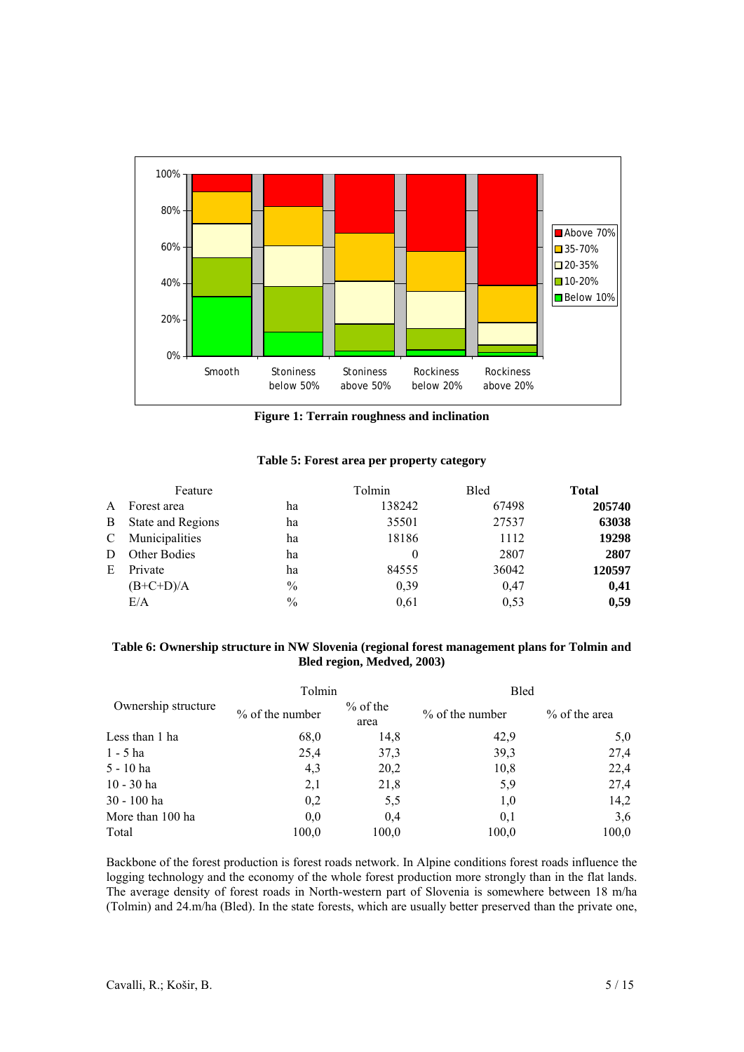

**Figure 1: Terrain roughness and inclination** 

# **Table 5: Forest area per property category**

|    | Feature           |               | Tolmin | <b>Bled</b> | <b>Total</b> |
|----|-------------------|---------------|--------|-------------|--------------|
| A  | Forest area       | ha            | 138242 | 67498       | 205740       |
| B  | State and Regions | ha            | 35501  | 27537       | 63038        |
| C  | Municipalities    | ha            | 18186  | 1112        | 19298        |
| D  | Other Bodies      | ha            |        | 2807        | 2807         |
| E. | Private           | ha            | 84555  | 36042       | 120597       |
|    | $(B+C+D)/A$       | $\frac{0}{0}$ | 0,39   | 0,47        | 0,41         |
|    | E/A               | $\frac{0}{0}$ | 0.61   | 0,53        | 0,59         |

# **Table 6: Ownership structure in NW Slovenia (regional forest management plans for Tolmin and Bled region, Medved, 2003)**

|                     | Tolmin            |                    | <b>Bled</b>       |               |  |
|---------------------|-------------------|--------------------|-------------------|---------------|--|
| Ownership structure | $%$ of the number | $%$ of the<br>area | $%$ of the number | % of the area |  |
| Less than 1 ha      | 68,0              | 14,8               | 42,9              | 5,0           |  |
| $1 - 5$ ha          | 25,4              | 37,3               | 39,3              | 27,4          |  |
| 5 - 10 ha           | 4,3               | 20,2               | 10,8              | 22,4          |  |
| $10 - 30$ ha        | 2,1               | 21,8               | 5,9               | 27,4          |  |
| 30 - 100 ha         | 0,2               | 5,5                | 1,0               | 14,2          |  |
| More than 100 ha    | 0.0               | 0.4                | 0.1               | 3,6           |  |
| Total               | 100,0             | 100,0              | 100,0             | 100,0         |  |

Backbone of the forest production is forest roads network. In Alpine conditions forest roads influence the logging technology and the economy of the whole forest production more strongly than in the flat lands. The average density of forest roads in North-western part of Slovenia is somewhere between 18 m/ha (Tolmin) and 24.m/ha (Bled). In the state forests, which are usually better preserved than the private one,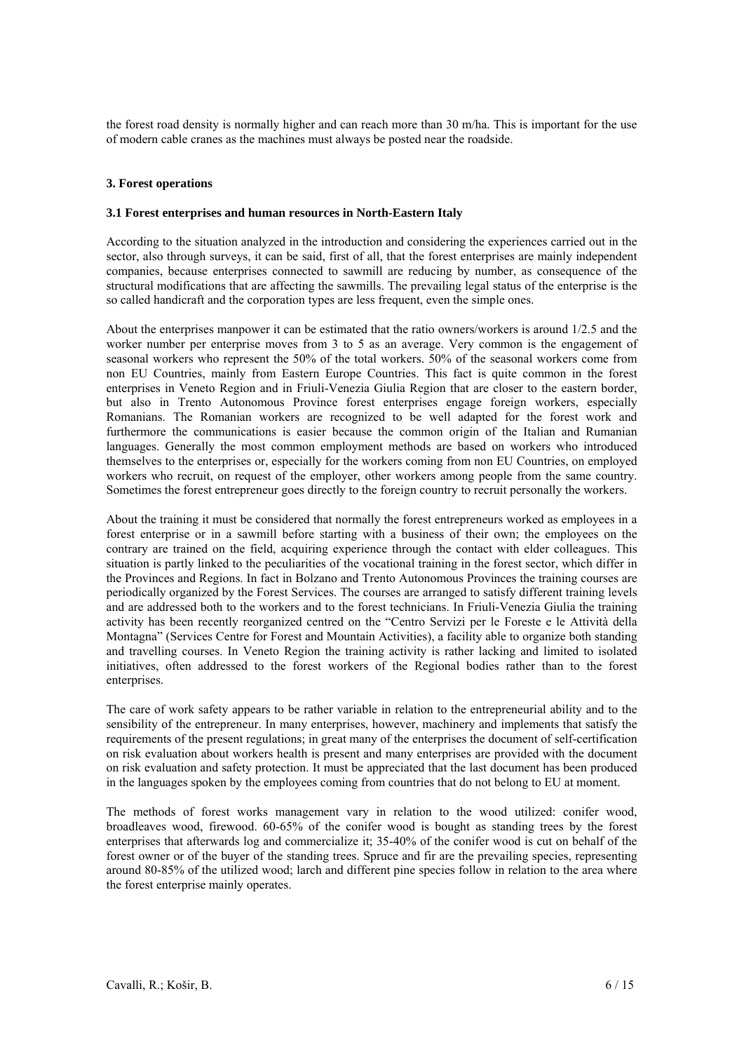the forest road density is normally higher and can reach more than 30 m/ha. This is important for the use of modern cable cranes as the machines must always be posted near the roadside.

# **3. Forest operations**

#### **3.1 Forest enterprises and human resources in North-Eastern Italy**

According to the situation analyzed in the introduction and considering the experiences carried out in the sector, also through surveys, it can be said, first of all, that the forest enterprises are mainly independent companies, because enterprises connected to sawmill are reducing by number, as consequence of the structural modifications that are affecting the sawmills. The prevailing legal status of the enterprise is the so called handicraft and the corporation types are less frequent, even the simple ones.

About the enterprises manpower it can be estimated that the ratio owners/workers is around 1/2.5 and the worker number per enterprise moves from 3 to 5 as an average. Very common is the engagement of seasonal workers who represent the 50% of the total workers. 50% of the seasonal workers come from non EU Countries, mainly from Eastern Europe Countries. This fact is quite common in the forest enterprises in Veneto Region and in Friuli-Venezia Giulia Region that are closer to the eastern border, but also in Trento Autonomous Province forest enterprises engage foreign workers, especially Romanians. The Romanian workers are recognized to be well adapted for the forest work and furthermore the communications is easier because the common origin of the Italian and Rumanian languages. Generally the most common employment methods are based on workers who introduced themselves to the enterprises or, especially for the workers coming from non EU Countries, on employed workers who recruit, on request of the employer, other workers among people from the same country. Sometimes the forest entrepreneur goes directly to the foreign country to recruit personally the workers.

About the training it must be considered that normally the forest entrepreneurs worked as employees in a forest enterprise or in a sawmill before starting with a business of their own; the employees on the contrary are trained on the field, acquiring experience through the contact with elder colleagues. This situation is partly linked to the peculiarities of the vocational training in the forest sector, which differ in the Provinces and Regions. In fact in Bolzano and Trento Autonomous Provinces the training courses are periodically organized by the Forest Services. The courses are arranged to satisfy different training levels and are addressed both to the workers and to the forest technicians. In Friuli-Venezia Giulia the training activity has been recently reorganized centred on the "Centro Servizi per le Foreste e le Attività della Montagna" (Services Centre for Forest and Mountain Activities), a facility able to organize both standing and travelling courses. In Veneto Region the training activity is rather lacking and limited to isolated initiatives, often addressed to the forest workers of the Regional bodies rather than to the forest enterprises.

The care of work safety appears to be rather variable in relation to the entrepreneurial ability and to the sensibility of the entrepreneur. In many enterprises, however, machinery and implements that satisfy the requirements of the present regulations; in great many of the enterprises the document of self-certification on risk evaluation about workers health is present and many enterprises are provided with the document on risk evaluation and safety protection. It must be appreciated that the last document has been produced in the languages spoken by the employees coming from countries that do not belong to EU at moment.

The methods of forest works management vary in relation to the wood utilized: conifer wood, broadleaves wood, firewood. 60-65% of the conifer wood is bought as standing trees by the forest enterprises that afterwards log and commercialize it; 35-40% of the conifer wood is cut on behalf of the forest owner or of the buyer of the standing trees. Spruce and fir are the prevailing species, representing around 80-85% of the utilized wood; larch and different pine species follow in relation to the area where the forest enterprise mainly operates.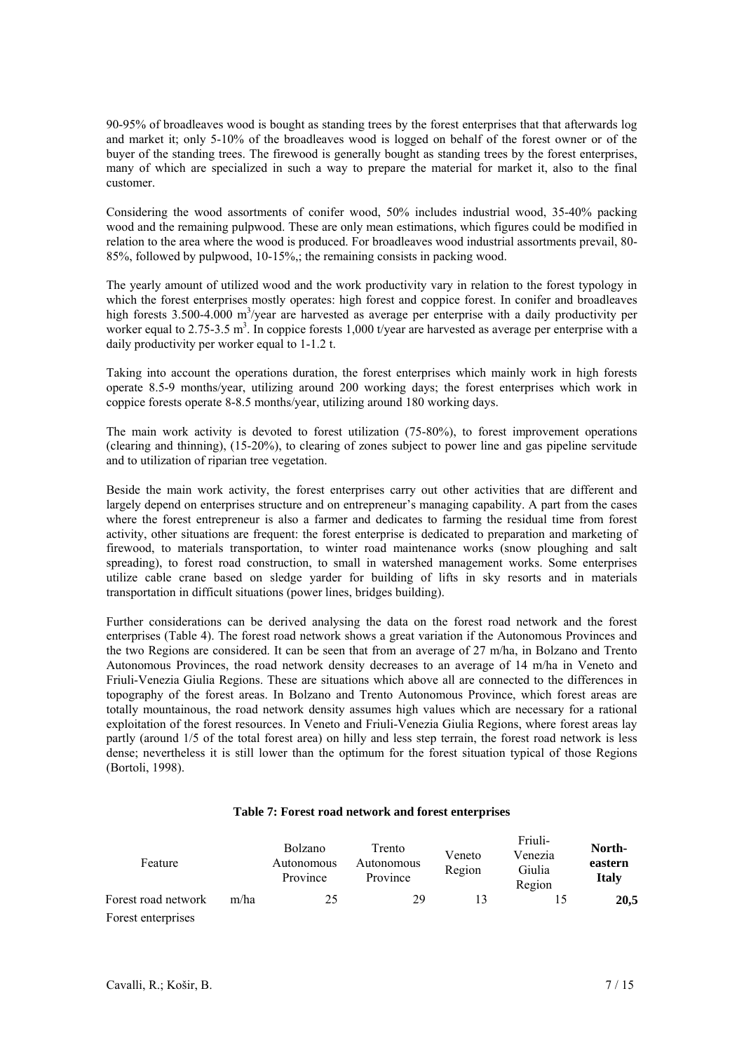90-95% of broadleaves wood is bought as standing trees by the forest enterprises that that afterwards log and market it; only 5-10% of the broadleaves wood is logged on behalf of the forest owner or of the buyer of the standing trees. The firewood is generally bought as standing trees by the forest enterprises, many of which are specialized in such a way to prepare the material for market it, also to the final customer.

Considering the wood assortments of conifer wood, 50% includes industrial wood, 35-40% packing wood and the remaining pulpwood. These are only mean estimations, which figures could be modified in relation to the area where the wood is produced. For broadleaves wood industrial assortments prevail, 80- 85%, followed by pulpwood, 10-15%,; the remaining consists in packing wood.

The yearly amount of utilized wood and the work productivity vary in relation to the forest typology in which the forest enterprises mostly operates: high forest and coppice forest. In conifer and broadleaves high forests 3.500-4.000 m<sup>3</sup>/year are harvested as average per enterprise with a daily productivity per worker equal to 2.75-3.5 m<sup>3</sup>. In coppice forests 1,000 t/year are harvested as average per enterprise with a daily productivity per worker equal to 1-1.2 t.

Taking into account the operations duration, the forest enterprises which mainly work in high forests operate 8.5-9 months/year, utilizing around 200 working days; the forest enterprises which work in coppice forests operate 8-8.5 months/year, utilizing around 180 working days.

The main work activity is devoted to forest utilization (75-80%), to forest improvement operations (clearing and thinning), (15-20%), to clearing of zones subject to power line and gas pipeline servitude and to utilization of riparian tree vegetation.

Beside the main work activity, the forest enterprises carry out other activities that are different and largely depend on enterprises structure and on entrepreneur's managing capability. A part from the cases where the forest entrepreneur is also a farmer and dedicates to farming the residual time from forest activity, other situations are frequent: the forest enterprise is dedicated to preparation and marketing of firewood, to materials transportation, to winter road maintenance works (snow ploughing and salt spreading), to forest road construction, to small in watershed management works. Some enterprises utilize cable crane based on sledge yarder for building of lifts in sky resorts and in materials transportation in difficult situations (power lines, bridges building).

Further considerations can be derived analysing the data on the forest road network and the forest enterprises (Table 4). The forest road network shows a great variation if the Autonomous Provinces and the two Regions are considered. It can be seen that from an average of 27 m/ha, in Bolzano and Trento Autonomous Provinces, the road network density decreases to an average of 14 m/ha in Veneto and Friuli-Venezia Giulia Regions. These are situations which above all are connected to the differences in topography of the forest areas. In Bolzano and Trento Autonomous Province, which forest areas are totally mountainous, the road network density assumes high values which are necessary for a rational exploitation of the forest resources. In Veneto and Friuli-Venezia Giulia Regions, where forest areas lay partly (around 1/5 of the total forest area) on hilly and less step terrain, the forest road network is less dense; nevertheless it is still lower than the optimum for the forest situation typical of those Regions (Bortoli, 1998).

#### **Table 7: Forest road network and forest enterprises**

| Feature             |      | Bolzano<br>Autonomous<br>Province | Trento<br>Autonomous<br>Province | Veneto<br>Region | Friuli-<br>Venezia<br>Giulia<br>Region | North-<br>eastern<br><b>Italy</b> |
|---------------------|------|-----------------------------------|----------------------------------|------------------|----------------------------------------|-----------------------------------|
| Forest road network | m/ha | 25                                | 29                               | 13               |                                        | <b>20,5</b>                       |
| Forest enterprises  |      |                                   |                                  |                  |                                        |                                   |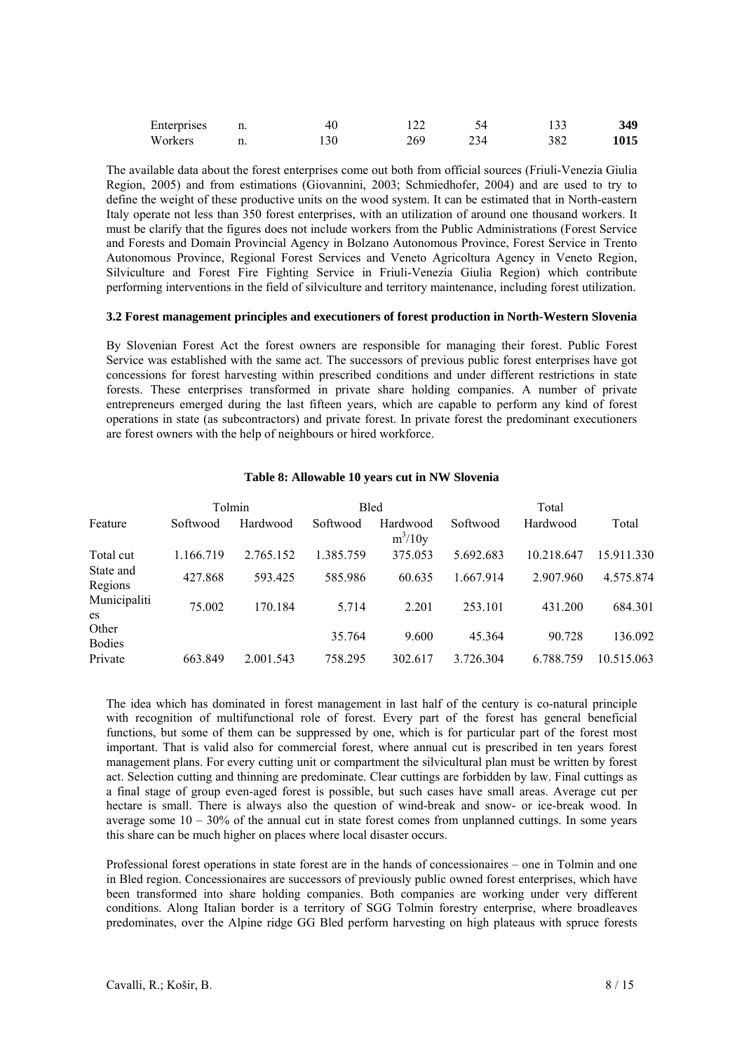| Enterprises | 11. | 40  |     |            |     | 349  |
|-------------|-----|-----|-----|------------|-----|------|
| Workers     |     | .30 | 269 | $34^\circ$ | 382 | 1015 |

The available data about the forest enterprises come out both from official sources (Friuli-Venezia Giulia Region, 2005) and from estimations (Giovannini, 2003; Schmiedhofer, 2004) and are used to try to define the weight of these productive units on the wood system. It can be estimated that in North-eastern Italy operate not less than 350 forest enterprises, with an utilization of around one thousand workers. It must be clarify that the figures does not include workers from the Public Administrations (Forest Service and Forests and Domain Provincial Agency in Bolzano Autonomous Province, Forest Service in Trento Autonomous Province, Regional Forest Services and Veneto Agricoltura Agency in Veneto Region, Silviculture and Forest Fire Fighting Service in Friuli-Venezia Giulia Region) which contribute performing interventions in the field of silviculture and territory maintenance, including forest utilization.

#### **3.2 Forest management principles and executioners of forest production in North-Western Slovenia**

By Slovenian Forest Act the forest owners are responsible for managing their forest. Public Forest Service was established with the same act. The successors of previous public forest enterprises have got concessions for forest harvesting within prescribed conditions and under different restrictions in state forests. These enterprises transformed in private share holding companies. A number of private entrepreneurs emerged during the last fifteen years, which are capable to perform any kind of forest operations in state (as subcontractors) and private forest. In private forest the predominant executioners are forest owners with the help of neighbours or hired workforce.

|                        |           | Tolmin    |           | <b>Bled</b>           |           | Total      |            |
|------------------------|-----------|-----------|-----------|-----------------------|-----------|------------|------------|
| Feature                | Softwood  | Hardwood  | Softwood  | Hardwood<br>$m^3/10y$ | Softwood  | Hardwood   | Total      |
| Total cut              | 1.166.719 | 2.765.152 | 1.385.759 | 375.053               | 5.692.683 | 10.218.647 | 15.911.330 |
| State and<br>Regions   | 427.868   | 593.425   | 585.986   | 60.635                | 1.667.914 | 2.907.960  | 4.575.874  |
| Municipaliti<br>es     | 75.002    | 170.184   | 5.714     | 2.201                 | 253.101   | 431.200    | 684.301    |
| Other<br><b>Bodies</b> |           |           | 35.764    | 9.600                 | 45.364    | 90.728     | 136.092    |
| Private                | 663.849   | 2.001.543 | 758.295   | 302.617               | 3.726.304 | 6.788.759  | 10.515.063 |

# **Table 8: Allowable 10 years cut in NW Slovenia**

The idea which has dominated in forest management in last half of the century is co-natural principle with recognition of multifunctional role of forest. Every part of the forest has general beneficial functions, but some of them can be suppressed by one, which is for particular part of the forest most important. That is valid also for commercial forest, where annual cut is prescribed in ten years forest management plans. For every cutting unit or compartment the silvicultural plan must be written by forest act. Selection cutting and thinning are predominate. Clear cuttings are forbidden by law. Final cuttings as a final stage of group even-aged forest is possible, but such cases have small areas. Average cut per hectare is small. There is always also the question of wind-break and snow- or ice-break wood. In average some  $10 - 30\%$  of the annual cut in state forest comes from unplanned cuttings. In some years this share can be much higher on places where local disaster occurs.

Professional forest operations in state forest are in the hands of concessionaires – one in Tolmin and one in Bled region. Concessionaires are successors of previously public owned forest enterprises, which have been transformed into share holding companies. Both companies are working under very different conditions. Along Italian border is a territory of SGG Tolmin forestry enterprise, where broadleaves predominates, over the Alpine ridge GG Bled perform harvesting on high plateaus with spruce forests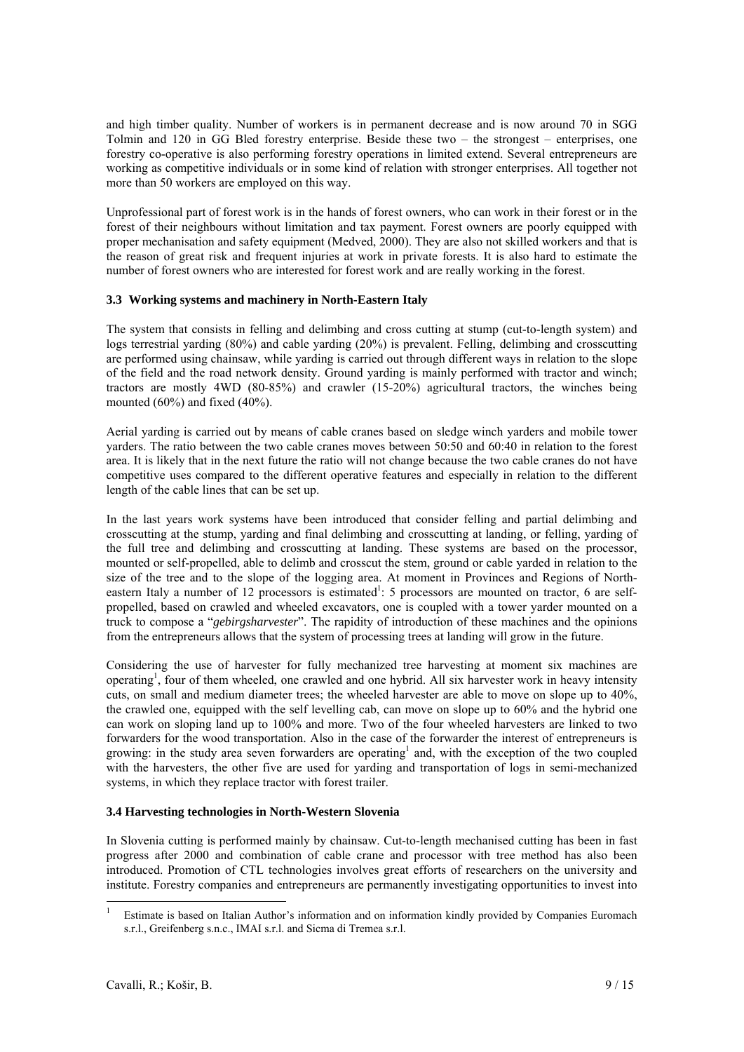and high timber quality. Number of workers is in permanent decrease and is now around 70 in SGG Tolmin and 120 in GG Bled forestry enterprise. Beside these two – the strongest – enterprises, one forestry co-operative is also performing forestry operations in limited extend. Several entrepreneurs are working as competitive individuals or in some kind of relation with stronger enterprises. All together not more than 50 workers are employed on this way.

Unprofessional part of forest work is in the hands of forest owners, who can work in their forest or in the forest of their neighbours without limitation and tax payment. Forest owners are poorly equipped with proper mechanisation and safety equipment (Medved, 2000). They are also not skilled workers and that is the reason of great risk and frequent injuries at work in private forests. It is also hard to estimate the number of forest owners who are interested for forest work and are really working in the forest.

# **3.3 Working systems and machinery in North-Eastern Italy**

The system that consists in felling and delimbing and cross cutting at stump (cut-to-length system) and logs terrestrial yarding (80%) and cable yarding (20%) is prevalent. Felling, delimbing and crosscutting are performed using chainsaw, while yarding is carried out through different ways in relation to the slope of the field and the road network density. Ground yarding is mainly performed with tractor and winch; tractors are mostly 4WD (80-85%) and crawler (15-20%) agricultural tractors, the winches being mounted (60%) and fixed (40%).

Aerial yarding is carried out by means of cable cranes based on sledge winch yarders and mobile tower yarders. The ratio between the two cable cranes moves between 50:50 and 60:40 in relation to the forest area. It is likely that in the next future the ratio will not change because the two cable cranes do not have competitive uses compared to the different operative features and especially in relation to the different length of the cable lines that can be set up.

In the last years work systems have been introduced that consider felling and partial delimbing and crosscutting at the stump, yarding and final delimbing and crosscutting at landing, or felling, yarding of the full tree and delimbing and crosscutting at landing. These systems are based on the processor, mounted or self-propelled, able to delimb and crosscut the stem, ground or cable yarded in relation to the size of the tree and to the slope of the logging area. At moment in Provinces and Regions of Northeastern Italy a number of 12 processors is estimated<sup>1</sup>: 5 processors are mounted on tractor, 6 are selfpropelled, based on crawled and wheeled excavators, one is coupled with a tower yarder mounted on a truck to compose a "*gebirgsharvester*". The rapidity of introduction of these machines and the opinions from the entrepreneurs allows that the system of processing trees at landing will grow in the future.

Considering the use of harvester for fully mechanized tree harvesting at moment six machines are operating<sup>1</sup>, four of them wheeled, one crawled and one hybrid. All six harvester work in heavy intensity cuts, on small and medium diameter trees; the wheeled harvester are able to move on slope up to 40%, the crawled one, equipped with the self levelling cab, can move on slope up to 60% and the hybrid one can work on sloping land up to 100% and more. Two of the four wheeled harvesters are linked to two forwarders for the wood transportation. Also in the case of the forwarder the interest of entrepreneurs is growing: in the study area seven forwarders are operating<sup>1</sup> and, with the exception of the two coupled with the harvesters, the other five are used for yarding and transportation of logs in semi-mechanized systems, in which they replace tractor with forest trailer.

# **3.4 Harvesting technologies in North-Western Slovenia**

In Slovenia cutting is performed mainly by chainsaw. Cut-to-length mechanised cutting has been in fast progress after 2000 and combination of cable crane and processor with tree method has also been introduced. Promotion of CTL technologies involves great efforts of researchers on the university and institute. Forestry companies and entrepreneurs are permanently investigating opportunities to invest into

-

<sup>1</sup> Estimate is based on Italian Author's information and on information kindly provided by Companies Euromach s.r.l., Greifenberg s.n.c., IMAI s.r.l. and Sicma di Tremea s.r.l.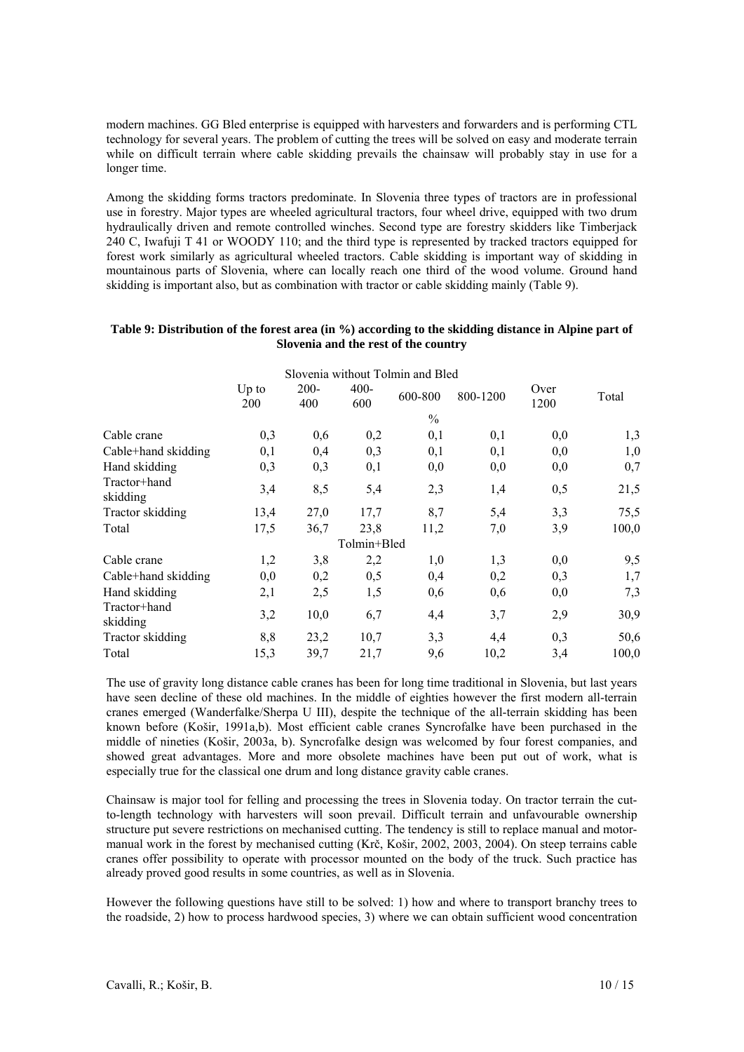modern machines. GG Bled enterprise is equipped with harvesters and forwarders and is performing CTL technology for several years. The problem of cutting the trees will be solved on easy and moderate terrain while on difficult terrain where cable skidding prevails the chainsaw will probably stay in use for a longer time.

Among the skidding forms tractors predominate. In Slovenia three types of tractors are in professional use in forestry. Major types are wheeled agricultural tractors, four wheel drive, equipped with two drum hydraulically driven and remote controlled winches. Second type are forestry skidders like Timberjack 240 C, Iwafuji T 41 or WOODY 110; and the third type is represented by tracked tractors equipped for forest work similarly as agricultural wheeled tractors. Cable skidding is important way of skidding in mountainous parts of Slovenia, where can locally reach one third of the wood volume. Ground hand skidding is important also, but as combination with tractor or cable skidding mainly (Table 9).

# **Table 9: Distribution of the forest area (in %) according to the skidding distance in Alpine part of Slovenia and the rest of the country**

|                          |                |                |                | Slovenia without Tolmin and Bled |          |              |       |
|--------------------------|----------------|----------------|----------------|----------------------------------|----------|--------------|-------|
|                          | $Up$ to<br>200 | $200 -$<br>400 | $400 -$<br>600 | 600-800                          | 800-1200 | Over<br>1200 | Total |
|                          |                |                |                | $\frac{0}{0}$                    |          |              |       |
| Cable crane              | 0,3            | 0,6            | 0,2            | 0,1                              | 0,1      | 0,0          | 1,3   |
| Cable+hand skidding      | 0,1            | 0,4            | 0,3            | 0,1                              | 0,1      | 0,0          | 1,0   |
| Hand skidding            | 0,3            | 0,3            | 0,1            | 0,0                              | 0,0      | 0,0          | 0,7   |
| Tractor+hand<br>skidding | 3,4            | 8,5            | 5,4            | 2,3                              | 1,4      | 0,5          | 21,5  |
| Tractor skidding         | 13,4           | 27,0           | 17,7           | 8,7                              | 5,4      | 3,3          | 75,5  |
| Total                    | 17,5           | 36,7           | 23,8           | 11,2                             | 7,0      | 3,9          | 100,0 |
|                          |                |                | Tolmin+Bled    |                                  |          |              |       |
| Cable crane              | 1,2            | 3,8            | 2,2            | 1,0                              | 1,3      | 0,0          | 9,5   |
| Cable+hand skidding      | 0,0            | 0,2            | 0,5            | 0,4                              | 0,2      | 0,3          | 1,7   |
| Hand skidding            | 2,1            | 2,5            | 1,5            | 0,6                              | 0,6      | 0,0          | 7,3   |
| Tractor+hand<br>skidding | 3,2            | 10,0           | 6,7            | 4,4                              | 3,7      | 2,9          | 30,9  |
| Tractor skidding         | 8,8            | 23,2           | 10,7           | 3,3                              | 4,4      | 0,3          | 50,6  |
| Total                    | 15,3           | 39,7           | 21,7           | 9,6                              | 10,2     | 3,4          | 100,0 |

The use of gravity long distance cable cranes has been for long time traditional in Slovenia, but last years have seen decline of these old machines. In the middle of eighties however the first modern all-terrain cranes emerged (Wanderfalke/Sherpa U III), despite the technique of the all-terrain skidding has been known before (Košir, 1991a,b). Most efficient cable cranes Syncrofalke have been purchased in the middle of nineties (Košir, 2003a, b). Syncrofalke design was welcomed by four forest companies, and showed great advantages. More and more obsolete machines have been put out of work, what is especially true for the classical one drum and long distance gravity cable cranes.

Chainsaw is major tool for felling and processing the trees in Slovenia today. On tractor terrain the cutto-length technology with harvesters will soon prevail. Difficult terrain and unfavourable ownership structure put severe restrictions on mechanised cutting. The tendency is still to replace manual and motormanual work in the forest by mechanised cutting (Krč, Košir, 2002, 2003, 2004). On steep terrains cable cranes offer possibility to operate with processor mounted on the body of the truck. Such practice has already proved good results in some countries, as well as in Slovenia.

However the following questions have still to be solved: 1) how and where to transport branchy trees to the roadside, 2) how to process hardwood species, 3) where we can obtain sufficient wood concentration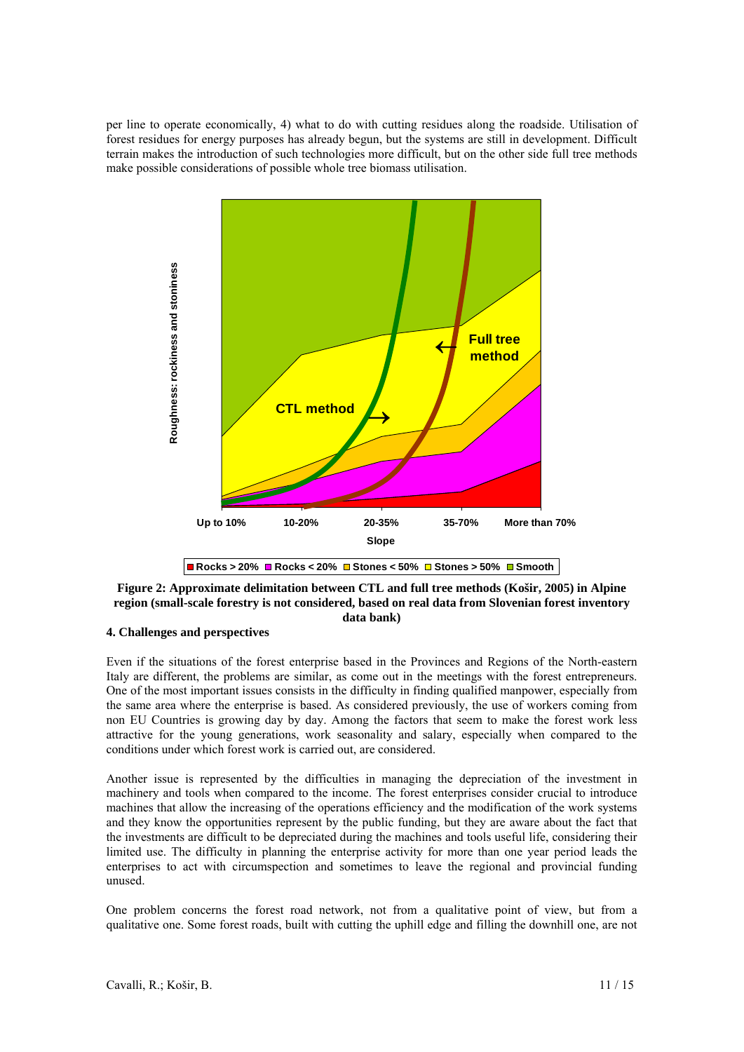per line to operate economically, 4) what to do with cutting residues along the roadside. Utilisation of forest residues for energy purposes has already begun, but the systems are still in development. Difficult terrain makes the introduction of such technologies more difficult, but on the other side full tree methods make possible considerations of possible whole tree biomass utilisation.



**Figure 2: Approximate delimitation between CTL and full tree methods (Košir, 2005) in Alpine region (small-scale forestry is not considered, based on real data from Slovenian forest inventory data bank)** 

# **4. Challenges and perspectives**

Even if the situations of the forest enterprise based in the Provinces and Regions of the North-eastern Italy are different, the problems are similar, as come out in the meetings with the forest entrepreneurs. One of the most important issues consists in the difficulty in finding qualified manpower, especially from the same area where the enterprise is based. As considered previously, the use of workers coming from non EU Countries is growing day by day. Among the factors that seem to make the forest work less attractive for the young generations, work seasonality and salary, especially when compared to the conditions under which forest work is carried out, are considered.

Another issue is represented by the difficulties in managing the depreciation of the investment in machinery and tools when compared to the income. The forest enterprises consider crucial to introduce machines that allow the increasing of the operations efficiency and the modification of the work systems and they know the opportunities represent by the public funding, but they are aware about the fact that the investments are difficult to be depreciated during the machines and tools useful life, considering their limited use. The difficulty in planning the enterprise activity for more than one year period leads the enterprises to act with circumspection and sometimes to leave the regional and provincial funding unused.

One problem concerns the forest road network, not from a qualitative point of view, but from a qualitative one. Some forest roads, built with cutting the uphill edge and filling the downhill one, are not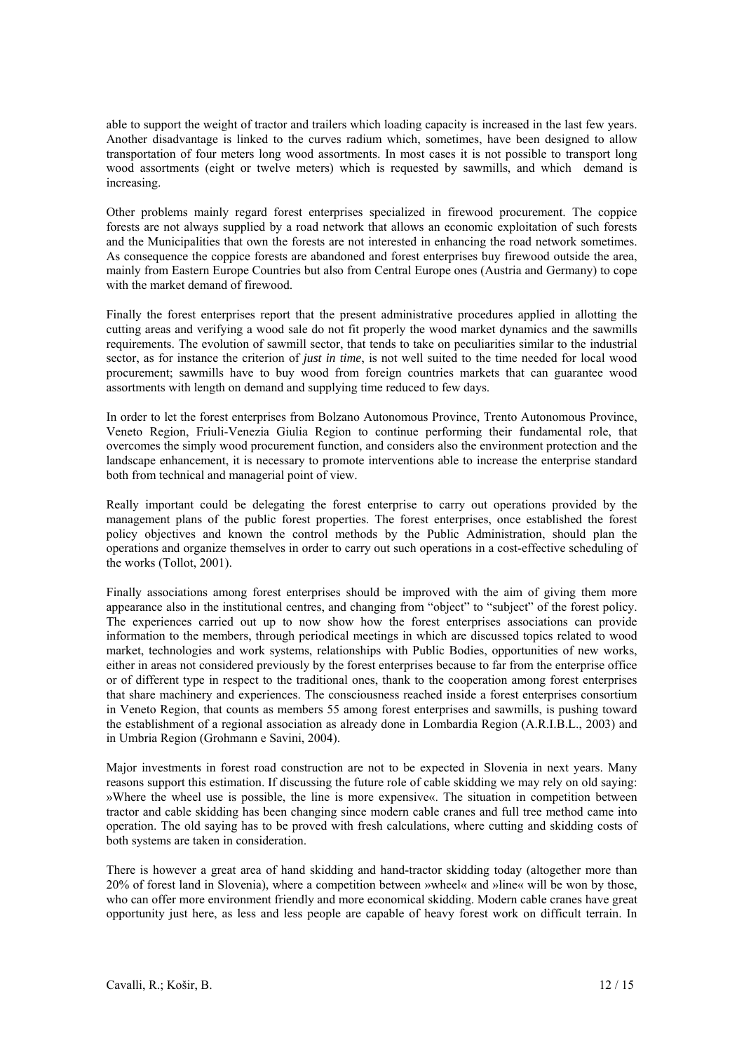able to support the weight of tractor and trailers which loading capacity is increased in the last few years. Another disadvantage is linked to the curves radium which, sometimes, have been designed to allow transportation of four meters long wood assortments. In most cases it is not possible to transport long wood assortments (eight or twelve meters) which is requested by sawmills, and which demand is increasing.

Other problems mainly regard forest enterprises specialized in firewood procurement. The coppice forests are not always supplied by a road network that allows an economic exploitation of such forests and the Municipalities that own the forests are not interested in enhancing the road network sometimes. As consequence the coppice forests are abandoned and forest enterprises buy firewood outside the area. mainly from Eastern Europe Countries but also from Central Europe ones (Austria and Germany) to cope with the market demand of firewood.

Finally the forest enterprises report that the present administrative procedures applied in allotting the cutting areas and verifying a wood sale do not fit properly the wood market dynamics and the sawmills requirements. The evolution of sawmill sector, that tends to take on peculiarities similar to the industrial sector, as for instance the criterion of *just in time*, is not well suited to the time needed for local wood procurement; sawmills have to buy wood from foreign countries markets that can guarantee wood assortments with length on demand and supplying time reduced to few days.

In order to let the forest enterprises from Bolzano Autonomous Province, Trento Autonomous Province, Veneto Region, Friuli-Venezia Giulia Region to continue performing their fundamental role, that overcomes the simply wood procurement function, and considers also the environment protection and the landscape enhancement, it is necessary to promote interventions able to increase the enterprise standard both from technical and managerial point of view.

Really important could be delegating the forest enterprise to carry out operations provided by the management plans of the public forest properties. The forest enterprises, once established the forest policy objectives and known the control methods by the Public Administration, should plan the operations and organize themselves in order to carry out such operations in a cost-effective scheduling of the works (Tollot, 2001).

Finally associations among forest enterprises should be improved with the aim of giving them more appearance also in the institutional centres, and changing from "object" to "subject" of the forest policy. The experiences carried out up to now show how the forest enterprises associations can provide information to the members, through periodical meetings in which are discussed topics related to wood market, technologies and work systems, relationships with Public Bodies, opportunities of new works, either in areas not considered previously by the forest enterprises because to far from the enterprise office or of different type in respect to the traditional ones, thank to the cooperation among forest enterprises that share machinery and experiences. The consciousness reached inside a forest enterprises consortium in Veneto Region, that counts as members 55 among forest enterprises and sawmills, is pushing toward the establishment of a regional association as already done in Lombardia Region (A.R.I.B.L., 2003) and in Umbria Region (Grohmann e Savini, 2004).

Major investments in forest road construction are not to be expected in Slovenia in next years. Many reasons support this estimation. If discussing the future role of cable skidding we may rely on old saying: »Where the wheel use is possible, the line is more expensive«. The situation in competition between tractor and cable skidding has been changing since modern cable cranes and full tree method came into operation. The old saying has to be proved with fresh calculations, where cutting and skidding costs of both systems are taken in consideration.

There is however a great area of hand skidding and hand-tractor skidding today (altogether more than 20% of forest land in Slovenia), where a competition between »wheel« and »line« will be won by those, who can offer more environment friendly and more economical skidding. Modern cable cranes have great opportunity just here, as less and less people are capable of heavy forest work on difficult terrain. In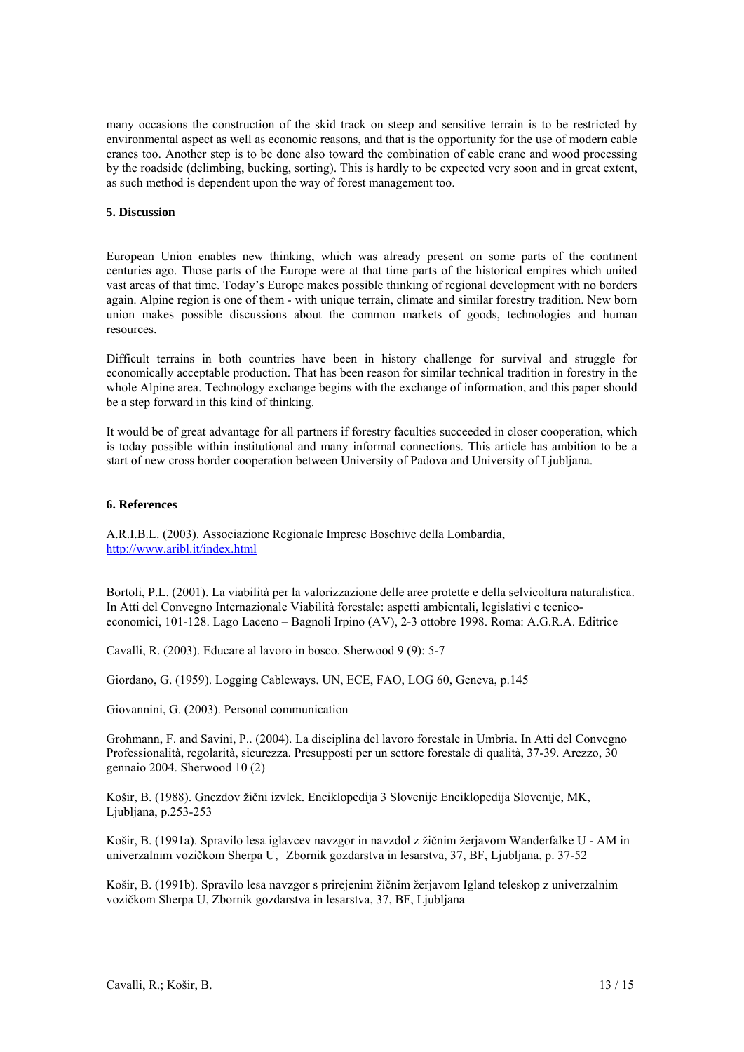many occasions the construction of the skid track on steep and sensitive terrain is to be restricted by environmental aspect as well as economic reasons, and that is the opportunity for the use of modern cable cranes too. Another step is to be done also toward the combination of cable crane and wood processing by the roadside (delimbing, bucking, sorting). This is hardly to be expected very soon and in great extent, as such method is dependent upon the way of forest management too.

# **5. Discussion**

European Union enables new thinking, which was already present on some parts of the continent centuries ago. Those parts of the Europe were at that time parts of the historical empires which united vast areas of that time. Today's Europe makes possible thinking of regional development with no borders again. Alpine region is one of them - with unique terrain, climate and similar forestry tradition. New born union makes possible discussions about the common markets of goods, technologies and human resources.

Difficult terrains in both countries have been in history challenge for survival and struggle for economically acceptable production. That has been reason for similar technical tradition in forestry in the whole Alpine area. Technology exchange begins with the exchange of information, and this paper should be a step forward in this kind of thinking.

It would be of great advantage for all partners if forestry faculties succeeded in closer cooperation, which is today possible within institutional and many informal connections. This article has ambition to be a start of new cross border cooperation between University of Padova and University of Ljubljana.

#### **6. References**

A.R.I.B.L. (2003). Associazione Regionale Imprese Boschive della Lombardia, http://www.aribl.it/index.html

Bortoli, P.L. (2001). La viabilità per la valorizzazione delle aree protette e della selvicoltura naturalistica. In Atti del Convegno Internazionale Viabilità forestale: aspetti ambientali, legislativi e tecnicoeconomici, 101-128. Lago Laceno – Bagnoli Irpino (AV), 2-3 ottobre 1998. Roma: A.G.R.A. Editrice

Cavalli, R. (2003). Educare al lavoro in bosco. Sherwood 9 (9): 5-7

Giordano, G. (1959). Logging Cableways. UN, ECE, FAO, LOG 60, Geneva, p.145

Giovannini, G. (2003). Personal communication

Grohmann, F. and Savini, P.. (2004). La disciplina del lavoro forestale in Umbria. In Atti del Convegno Professionalità, regolarità, sicurezza. Presupposti per un settore forestale di qualità, 37-39. Arezzo, 30 gennaio 2004. Sherwood 10 (2)

Košir, B. (1988). Gnezdov žični izvlek. Enciklopedija 3 Slovenije Enciklopedija Slovenije, MK, Ljubljana, p.253-253

Košir, B. (1991a). Spravilo lesa iglavcev navzgor in navzdol z žičnim žerjavom Wanderfalke U - AM in univerzalnim vozičkom Sherpa U, Zbornik gozdarstva in lesarstva, 37, BF, Ljubljana, p. 37-52

Košir, B. (1991b). Spravilo lesa navzgor s prirejenim žičnim žerjavom Igland teleskop z univerzalnim vozičkom Sherpa U, Zbornik gozdarstva in lesarstva, 37, BF, Ljubljana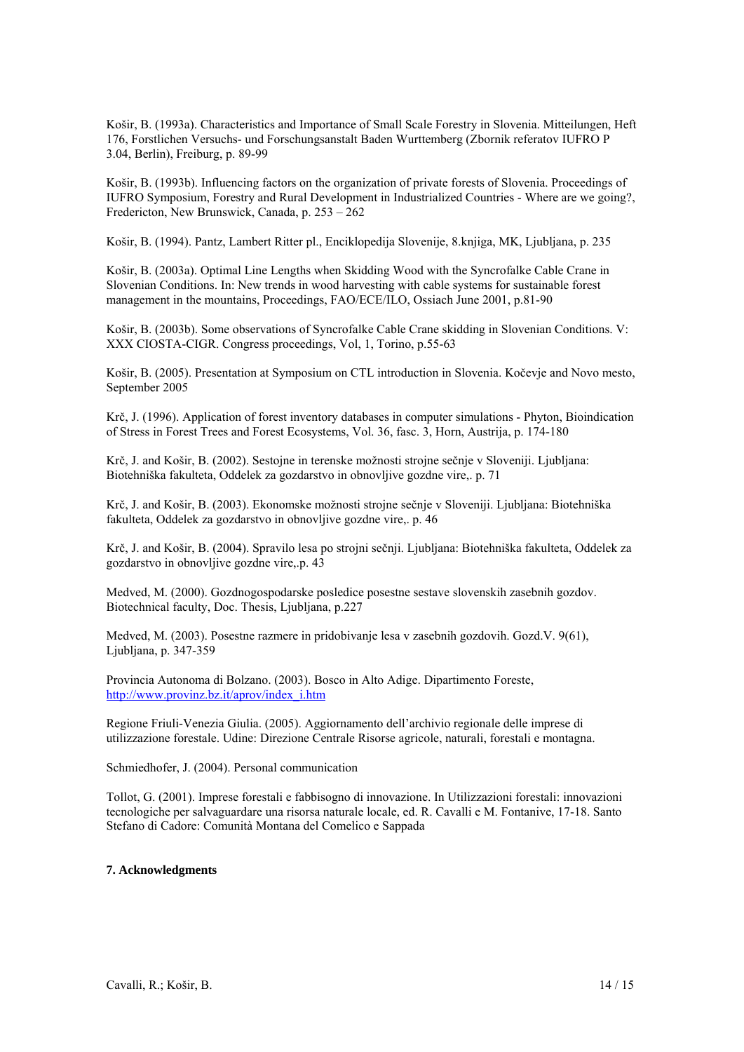Košir, B. (1993a). Characteristics and Importance of Small Scale Forestry in Slovenia. Mitteilungen, Heft 176, Forstlichen Versuchs- und Forschungsanstalt Baden Wurttemberg (Zbornik referatov IUFRO P 3.04, Berlin), Freiburg, p. 89-99

Košir, B. (1993b). Influencing factors on the organization of private forests of Slovenia. Proceedings of IUFRO Symposium, Forestry and Rural Development in Industrialized Countries - Where are we going?, Fredericton, New Brunswick, Canada, p. 253 – 262

Košir, B. (1994). Pantz, Lambert Ritter pl., Enciklopedija Slovenije, 8.knjiga, MK, Ljubljana, p. 235

Košir, B. (2003a). Optimal Line Lengths when Skidding Wood with the Syncrofalke Cable Crane in Slovenian Conditions. In: New trends in wood harvesting with cable systems for sustainable forest management in the mountains, Proceedings, FAO/ECE/ILO, Ossiach June 2001, p.81-90

Košir, B. (2003b). Some observations of Syncrofalke Cable Crane skidding in Slovenian Conditions. V: XXX CIOSTA-CIGR. Congress proceedings, Vol, 1, Torino, p.55-63

Košir, B. (2005). Presentation at Symposium on CTL introduction in Slovenia. Kočevje and Novo mesto, September 2005

Krč, J. (1996). Application of forest inventory databases in computer simulations - Phyton, Bioindication of Stress in Forest Trees and Forest Ecosystems, Vol. 36, fasc. 3, Horn, Austrija, p. 174-180

Krč, J. and Košir, B. (2002). Sestojne in terenske možnosti strojne sečnje v Sloveniji. Ljubljana: Biotehniška fakulteta, Oddelek za gozdarstvo in obnovljive gozdne vire,. p. 71

Krč, J. and Košir, B. (2003). Ekonomske možnosti strojne sečnje v Sloveniji. Ljubljana: Biotehniška fakulteta, Oddelek za gozdarstvo in obnovljive gozdne vire,. p. 46

Krč, J. and Košir, B. (2004). Spravilo lesa po strojni sečnji. Ljubljana: Biotehniška fakulteta, Oddelek za gozdarstvo in obnovljive gozdne vire,.p. 43

Medved, M. (2000). Gozdnogospodarske posledice posestne sestave slovenskih zasebnih gozdov. Biotechnical faculty, Doc. Thesis, Ljubljana, p.227

Medved, M. (2003). Posestne razmere in pridobivanje lesa v zasebnih gozdovih. Gozd.V. 9(61), Ljubljana, p. 347-359

Provincia Autonoma di Bolzano. (2003). Bosco in Alto Adige. Dipartimento Foreste, http://www.provinz.bz.it/aprov/index\_i.htm

Regione Friuli-Venezia Giulia. (2005). Aggiornamento dell'archivio regionale delle imprese di utilizzazione forestale. Udine: Direzione Centrale Risorse agricole, naturali, forestali e montagna.

Schmiedhofer, J. (2004). Personal communication

Tollot, G. (2001). Imprese forestali e fabbisogno di innovazione. In Utilizzazioni forestali: innovazioni tecnologiche per salvaguardare una risorsa naturale locale, ed. R. Cavalli e M. Fontanive, 17-18. Santo Stefano di Cadore: Comunità Montana del Comelico e Sappada

# **7. Acknowledgments**